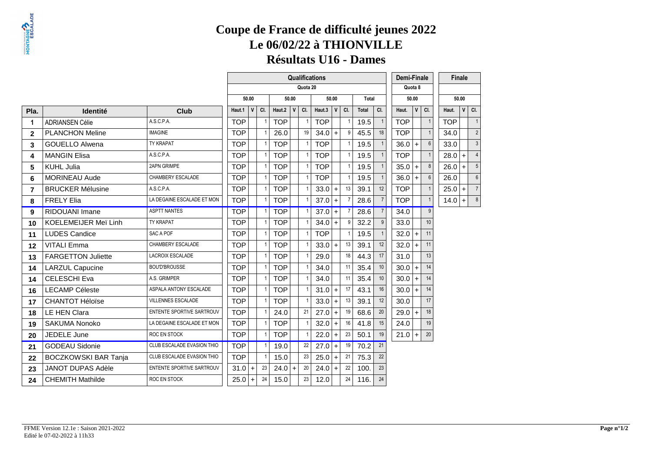**Résultats U16 - Dames**

|                |                             |                            |            |              |     |            |              |                | Qualifications |              |                |       |                |  | Demi-Finale |         |                |            | Finale       |                  |
|----------------|-----------------------------|----------------------------|------------|--------------|-----|------------|--------------|----------------|----------------|--------------|----------------|-------|----------------|--|-------------|---------|----------------|------------|--------------|------------------|
|                |                             |                            |            |              |     |            |              | Quota 20       |                |              |                |       |                |  |             | Quota 8 |                |            |              |                  |
|                |                             |                            |            | 50.00        |     |            | 50.00        |                |                | 50.00        |                | Total |                |  |             | 50.00   |                |            | 50.00        |                  |
| Pla.           | <b>Identité</b>             | Club                       | Haut.1     | $\mathbf{V}$ | CI. | Haut.2     | $\mathsf{V}$ | CI.            | Haut.3         | $\mathsf{V}$ | CI.            | Total | CI.            |  | Haut.       | V       | CI.            | Haut.      | $\mathsf{v}$ | CI.              |
| 1              | <b>ADRIANSEN Célie</b>      | A.S.C.P.A.                 | <b>TOP</b> |              |     | <b>TOP</b> |              | $\mathbf{1}$   | <b>TOP</b>     |              |                | 19.5  |                |  | <b>TOP</b>  |         |                | <b>TOP</b> |              | 1                |
| $\mathbf{2}$   | <b>PLANCHON Meline</b>      | <b>IMAGINE</b>             | <b>TOP</b> |              |     | 26.0       |              | 19             | 34.0           | $+$          | 9              | 45.5  | 18             |  | <b>TOP</b>  |         |                | 34.0       |              | $\overline{2}$   |
| 3              | <b>GOUELLO Alwena</b>       | TY KRAPAT                  | <b>TOP</b> |              |     | <b>TOP</b> |              | $\overline{1}$ | <b>TOP</b>     |              | $\mathbf{1}$   | 19.5  |                |  | $36.0 +$    |         | $6\phantom{1}$ | 33.0       |              | $\mathbf{3}$     |
| 4              | <b>MANGIN Elisa</b>         | A.S.C.P.A.                 | <b>TOP</b> |              |     | <b>TOP</b> |              | $\mathbf{1}$   | <b>TOP</b>     |              | 1              | 19.5  |                |  | <b>TOP</b>  |         |                | 28.0       | $+$          | 4                |
| 5              | <b>KUHL Julia</b>           | 2APN GRIMPE                | <b>TOP</b> |              |     | <b>TOP</b> |              | $\overline{1}$ | <b>TOP</b>     |              | $\overline{1}$ | 19.5  |                |  | 35.0        | $+$     | 8              | 26.0       | $+$          | $5\phantom{.0}$  |
| 6              | <b>MORINEAU Aude</b>        | CHAMBERY ESCALADE          | <b>TOP</b> |              |     | <b>TOP</b> |              | $\overline{1}$ | <b>TOP</b>     |              | $\mathbf{1}$   | 19.5  |                |  | $36.0 +$    |         | $6\phantom{1}$ | 26.0       |              | $\boldsymbol{6}$ |
| $\overline{7}$ | <b>BRUCKER Mélusine</b>     | A.S.C.P.A.                 | <b>TOP</b> |              |     | <b>TOP</b> |              | $\overline{1}$ | 33.0           | $+$          | 13             | 39.1  | 12             |  | <b>TOP</b>  |         |                | 25.0       | $+$          | 7                |
| 8              | <b>FRELY Elia</b>           | LA DEGAINE ESCALADE ET MON | <b>TOP</b> |              |     | <b>TOP</b> |              | $\overline{1}$ | 37.0           | $+$          |                | 28.6  |                |  | <b>TOP</b>  |         | $\overline{1}$ | 14.0       | $+$          | 8 <sup>1</sup>   |
| 9              | <b>RIDOUANI Imane</b>       | <b>ASPTT NANTES</b>        | <b>TOP</b> |              |     | <b>TOP</b> |              | $\overline{1}$ | $37.0 +$       |              | $\overline{7}$ | 28.6  | $\overline{7}$ |  | 34.0        |         | $\overline{9}$ |            |              |                  |
| 10             | <b>KOELEMEIJER Meï Linh</b> | TY KRAPAT                  | <b>TOP</b> |              |     | <b>TOP</b> |              | $\mathbf{1}$   | 34.0           | $+$          | 9              | 32.2  | 9              |  | 33.0        |         | 10             |            |              |                  |
| 11             | <b>LUDES Candice</b>        | SAC A POF                  | <b>TOP</b> |              |     | <b>TOP</b> |              | $\overline{1}$ | <b>TOP</b>     |              |                | 19.5  |                |  | $32.0 +$    |         | 11             |            |              |                  |
| 12             | <b>VITALI Emma</b>          | CHAMBERY ESCALADE          | <b>TOP</b> |              |     | <b>TOP</b> |              | $\overline{1}$ | $33.0 +$       |              | 13             | 39.1  | 12             |  | $32.0 +$    |         | 11             |            |              |                  |
| 13             | <b>FARGETTON Juliette</b>   | <b>LACROIX ESCALADE</b>    | <b>TOP</b> |              |     | <b>TOP</b> |              | $\mathbf{1}$   | 29.0           |              | 18             | 44.3  | 17             |  | 31.0        |         | 13             |            |              |                  |
| 14             | <b>LARZUL Capucine</b>      | BOU'D'BROUSSE              | <b>TOP</b> |              |     | <b>TOP</b> |              | $\mathbf{1}$   | 34.0           |              | 11             | 35.4  | 10             |  | $30.0 +$    |         | 14             |            |              |                  |
| 14             | <b>CELESCHI Eva</b>         | A.S. GRIMPER               | <b>TOP</b> |              |     | <b>TOP</b> |              | $\mathbf{1}$   | 34.0           |              | 11             | 35.4  | 10             |  | $30.0 +$    |         | 14             |            |              |                  |
| 16             | <b>LECAMP Céleste</b>       | ASPALA ANTONY ESCALADE     | <b>TOP</b> |              |     | <b>TOP</b> |              | $\overline{1}$ | 31.0           | $\ddot{+}$   | 17             | 43.1  | 16             |  | 30.0        | $+$     | 14             |            |              |                  |
| 17             | <b>CHANTOT Héloïse</b>      | <b>VILLENNES ESCALADE</b>  | <b>TOP</b> |              |     | <b>TOP</b> |              | $\overline{1}$ | 33.0           | $+$          | 13             | 39.1  | 12             |  | 30.0        |         | 17             |            |              |                  |
| 18             | LE HEN Clara                | ENTENTE SPORTIVE SARTROUV  | <b>TOP</b> |              |     | 24.0       |              | 21             | 27.0           | $+$          | 19             | 68.6  | 20             |  | $29.0 +$    |         | 18             |            |              |                  |
| 19             | <b>SAKUMA Nonoko</b>        | LA DEGAINE ESCALADE ET MON | <b>TOP</b> |              |     | <b>TOP</b> |              | $\overline{1}$ | 32.0           | $+$          | 16             | 41.8  | 15             |  | 24.0        |         | 19             |            |              |                  |
| 20             | JEDELE June                 | ROC EN STOCK               | <b>TOP</b> |              |     | <b>TOP</b> |              | $\mathbf{1}$   | 22.0           | $+$          | 23             | 50.1  | 19             |  | $21.0 +$    |         | 20             |            |              |                  |
| 21             | <b>GODEAU Sidonie</b>       | CLUB ESCALADE EVASION THIO | <b>TOP</b> |              |     | 19.0       |              | 22             | 27.0           | $+$          | 19             | 70.2  | 21             |  |             |         |                |            |              |                  |
| 22             | <b>BOCZKOWSKI BAR Tanja</b> | CLUB ESCALADE EVASION THIO | <b>TOP</b> |              |     | 15.0       |              | 23             | 25.0           | $+$          | 21             | 75.3  | 22             |  |             |         |                |            |              |                  |
| 23             | <b>JANOT DUPAS Adèle</b>    | ENTENTE SPORTIVE SARTROUV  | 31.0       | $+$          | 23  | $24.0 +$   |              | 20             | 24.0           | $+$          | 22             | 100.  | 23             |  |             |         |                |            |              |                  |
| 24             | <b>CHEMITH Mathilde</b>     | ROC EN STOCK               | 25.0       | $+$          | 24  | 15.0       |              | 23             | 12.0           |              | 24             | 116.  | 24             |  |             |         |                |            |              |                  |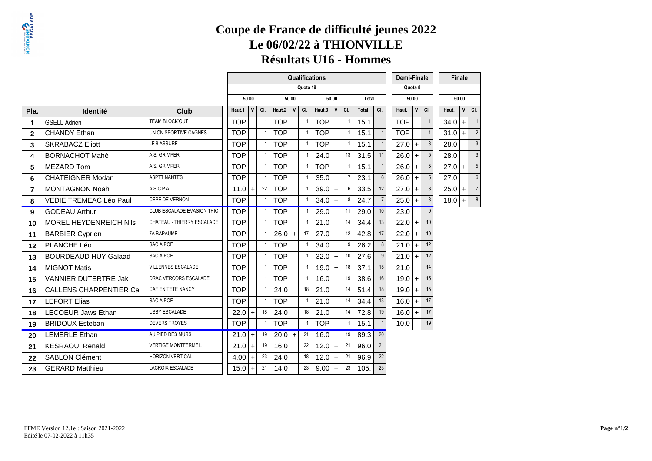|                |                               |                            | Qualifications<br>Demi-Finale<br>Quota 19<br>Quota 8 |              |     |            |              |                |            |              |                |       |     |            |          |                 |       | Finale       |           |                 |
|----------------|-------------------------------|----------------------------|------------------------------------------------------|--------------|-----|------------|--------------|----------------|------------|--------------|----------------|-------|-----|------------|----------|-----------------|-------|--------------|-----------|-----------------|
|                |                               |                            |                                                      |              |     |            |              |                |            |              |                |       |     |            |          |                 |       |              |           |                 |
|                |                               |                            |                                                      | 50.00        |     |            | 50.00        |                |            | 50.00        |                | Total |     |            | 50.00    |                 |       | 50.00        |           |                 |
| Pla.           | <b>Identité</b>               | Club                       | Haut.1                                               | $\mathsf{V}$ | CI. | Haut.2     | $\mathsf{V}$ | CI.            | Haut.3     | $\mathbf{V}$ | CI.            | Total | CI. | Haut.      |          | V<br>CI.        | Haut. | $\mathsf{v}$ | CI.       |                 |
| 1              | <b>GSELL Adrien</b>           | TEAM BLOCK'OUT             | <b>TOP</b>                                           |              |     | <b>TOP</b> |              | $\overline{1}$ | <b>TOP</b> |              |                | 15.1  |     | <b>TOP</b> |          |                 | 34.0  | $+$          | $\vert$ 1 |                 |
| $\overline{2}$ | <b>CHANDY Ethan</b>           | UNION SPORTIVE CAGNES      | <b>TOP</b>                                           |              | -1  | <b>TOP</b> |              | $\overline{1}$ | <b>TOP</b> |              | 1              | 15.1  |     | <b>TOP</b> |          | $\mathbf{1}$    | 31.0  | $+$          |           | $\overline{2}$  |
| $\mathbf{3}$   | <b>SKRABACZ Eliott</b>        | LE 8 ASSURE                | <b>TOP</b>                                           |              |     | <b>TOP</b> |              | $\mathbf{1}$   | <b>TOP</b> |              |                | 15.1  |     |            | $27.0 +$ | 3               | 28.0  |              |           | 3 <sup>1</sup>  |
| 4              | <b>BORNACHOT Mahé</b>         | A.S. GRIMPER               | <b>TOP</b>                                           |              |     | <b>TOP</b> |              | $\overline{1}$ | 24.0       |              | 13             | 31.5  | 11  |            | $26.0 +$ |                 | 28.0  |              |           | $\mathbf{3}$    |
| 5              | <b>MEZARD Tom</b>             | A.S. GRIMPER               | <b>TOP</b>                                           |              |     | <b>TOP</b> |              | $\overline{1}$ | <b>TOP</b> |              | $\mathbf{1}$   | 15.1  |     |            | $26.0 +$ | 5               | 27.0  | $+$          |           | $5\phantom{.0}$ |
| 6              | <b>CHATEIGNER Modan</b>       | <b>ASPTT NANTES</b>        | <b>TOP</b>                                           |              |     | <b>TOP</b> |              | $\overline{1}$ | 35.0       |              | $\overline{7}$ | 23.1  | 6   |            | $26.0 +$ | 5               | 27.0  |              |           | $6\phantom{1}$  |
| $\overline{7}$ | <b>MONTAGNON Noah</b>         | A.S.C.P.A.                 | 11.0                                                 | $+$          | 22  | <b>TOP</b> |              | $\overline{1}$ | $39.0 +$   |              | 6              | 33.5  | 12  |            | $27.0 +$ | 3               | 25.0  | $+$          |           | 7               |
| 8              | VEDIE TREMEAC Léo Paul        | CEPE DE VERNON             | <b>TOP</b>                                           |              |     | <b>TOP</b> |              | $\overline{1}$ | $34.0 +$   |              | 8              | 24.7  |     |            | $25.0 +$ | 8               | 18.0  | $+$          |           | 8               |
| 9              | <b>GODEAU Arthur</b>          | CLUB ESCALADE EVASION THIO | <b>TOP</b>                                           |              |     | <b>TOP</b> |              | $\overline{1}$ | 29.0       |              | 11             | 29.0  | 10  | 23.0       |          | 9               |       |              |           |                 |
| 10             | <b>MOREL HEYDENREICH Nils</b> | CHATEAU - THIERRY ESCALADE | <b>TOP</b>                                           |              |     | <b>TOP</b> |              | $\overline{1}$ | 21.0       |              | 14             | 34.4  | 13  |            | $22.0 +$ | 10              |       |              |           |                 |
| 11             | <b>BARBIER Cyprien</b>        | <b>7A BAPAUME</b>          | <b>TOP</b>                                           |              |     | $26.0+$    |              | 17             | $27.0 +$   |              | 12             | 42.8  | 17  |            | $22.0 +$ | 10 <sup>1</sup> |       |              |           |                 |
| 12             | PLANCHE Léo                   | SAC A POF                  | <b>TOP</b>                                           |              |     | <b>TOP</b> |              | $\overline{1}$ | 34.0       |              | 9              | 26.2  | 8   |            | $21.0 +$ | 12              |       |              |           |                 |
| 13             | <b>BOURDEAUD HUY Galaad</b>   | SAC A POF                  | <b>TOP</b>                                           |              |     | <b>TOP</b> |              | $\overline{1}$ | $32.0 +$   |              | 10             | 27.6  |     |            | $21.0 +$ | 12              |       |              |           |                 |
| 14             | <b>MIGNOT Matis</b>           | <b>VILLENNES ESCALADE</b>  | <b>TOP</b>                                           |              |     | <b>TOP</b> |              | $\overline{1}$ | 19.0       | $+$          | 18             | 37.1  | 15  | 21.0       |          | 14              |       |              |           |                 |
| 15             | <b>VANNIER DUTERTRE Jak</b>   | DRAC VERCORS ESCALADE      | <b>TOP</b>                                           |              |     | <b>TOP</b> |              | $\overline{1}$ | 16.0       |              | 19             | 38.6  | 16  |            | $19.0 +$ | 15              |       |              |           |                 |
| 16             | <b>CALLENS CHARPENTIER Ca</b> | CAF EN TETE NANCY          | <b>TOP</b>                                           |              |     | 24.0       |              | 18             | 21.0       |              | 14             | 51.4  | 18  | 19.0       | $+$      | 15              |       |              |           |                 |
| 17             | <b>LEFORT Elias</b>           | SAC A POF                  | <b>TOP</b>                                           |              |     | <b>TOP</b> |              | $\overline{1}$ | 21.0       |              | 14             | 34.4  | 13  |            | $16.0 +$ | 17              |       |              |           |                 |
| 18             | <b>LECOEUR Jaws Ethan</b>     | <b>USBY ESCALADE</b>       | $22.0 +$                                             |              | 18  | 24.0       |              | 18             | 21.0       |              | 14             | 72.8  | 19  |            | $16.0 +$ | 17              |       |              |           |                 |
| 19             | <b>BRIDOUX Esteban</b>        | <b>DEVERS TROYES</b>       | <b>TOP</b>                                           |              |     | <b>TOP</b> |              | $\overline{1}$ | <b>TOP</b> |              |                | 15.1  |     | 10.0       |          | 19              |       |              |           |                 |
| 20             | <b>LEMERLE Ethan</b>          | AU PIED DES MURS           | $21.0 +$                                             |              | 19  | $20.0$ +   |              | 21             | 16.0       |              | 19             | 89.3  | 20  |            |          |                 |       |              |           |                 |
| 21             | <b>KESRAOUI Renald</b>        | <b>VERTIGE MONTFERMEIL</b> | $21.0 +$                                             |              | 19  | 16.0       |              | 22             | $12.0 +$   |              | 21             | 96.0  | 21  |            |          |                 |       |              |           |                 |
| 22             | <b>SABLON Clément</b>         | <b>HORIZON VERTICAL</b>    | 4.00                                                 | $+$          | 23  | 24.0       |              | 18             | 12.0       | $+$          | 21             | 96.9  | 22  |            |          |                 |       |              |           |                 |
| 23             | <b>GERARD Matthieu</b>        | <b>LACROIX ESCALADE</b>    | 15.0                                                 | $+$          | 21  | 14.0       |              | 23             | 9.00       | $+$          | 23             | 105.  | 23  |            |          |                 |       |              |           |                 |
|                |                               |                            |                                                      |              |     |            |              |                |            |              |                |       |     |            |          |                 |       |              |           |                 |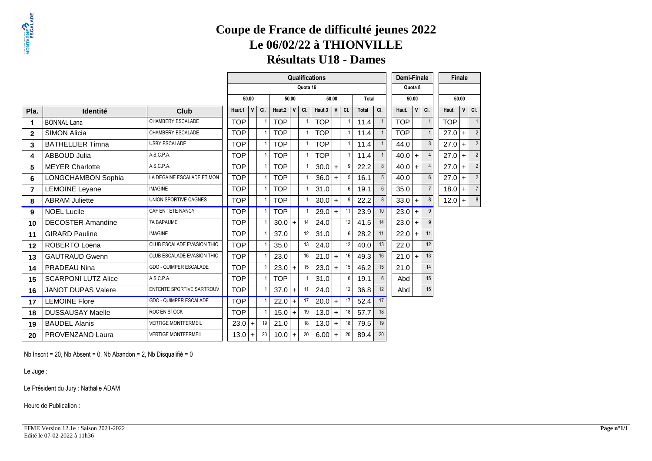**Résultats U18 - Dames**

|              |                            |                               |                                                                  |   |     |            |              |                | <b>Qualifications</b> |     |                 |       |                 |  | Demi-Finale |              |                |            | <b>Finale</b> |                |
|--------------|----------------------------|-------------------------------|------------------------------------------------------------------|---|-----|------------|--------------|----------------|-----------------------|-----|-----------------|-------|-----------------|--|-------------|--------------|----------------|------------|---------------|----------------|
|              |                            |                               | Quota 16<br>Quota 8<br>50.00<br>50.00<br>50.00<br>50.00<br>Total |   |     |            |              |                |                       |     |                 |       |                 |  |             |              |                |            |               |                |
|              |                            |                               |                                                                  |   |     |            |              |                |                       |     |                 |       |                 |  |             |              |                |            | 50.00         |                |
| Pla.         | <b>Identité</b>            | Club                          | Haut.1                                                           | v | CI. | Haut.2     | $\mathsf{V}$ | CI.            | Haut.3                | V   | CI.             | Total | CI.             |  | Haut.       | $\mathsf{V}$ | CI.            | Haut.      | $\mathsf{v}$  | CI.            |
|              | <b>BONNAL Lana</b>         | CHAMBERY ESCALADE             | <b>TOP</b>                                                       |   |     | <b>TOP</b> |              |                | <b>TOP</b>            |     |                 | 11.4  |                 |  | <b>TOP</b>  |              |                | <b>TOP</b> |               | $\overline{1}$ |
| $\mathbf{2}$ | <b>SIMON Alicia</b>        | CHAMBERY ESCALADE             | <b>TOP</b>                                                       |   |     | <b>TOP</b> |              |                | <b>TOP</b>            |     |                 | 11.4  |                 |  | <b>TOP</b>  |              |                | 27.0       | $+$           | $\overline{2}$ |
| 3            | <b>BATHELLIER Timna</b>    | <b>USBY ESCALADE</b>          | <b>TOP</b>                                                       |   |     | <b>TOP</b> |              | $\overline{1}$ | <b>TOP</b>            |     | $\overline{1}$  | 11.4  |                 |  | 44.0        |              | $\mathbf{3}$   | 27.0       | $+$           | $\overline{2}$ |
| 4            | <b>ABBOUD Julia</b>        | A.S.C.P.A.                    | <b>TOP</b>                                                       |   |     | <b>TOP</b> |              |                | <b>TOP</b>            |     | $\overline{1}$  | 11.4  |                 |  | $40.0 +$    |              |                | 27.0       | $+$           | $\overline{2}$ |
| 5            | <b>MEYER Charlotte</b>     | A.S.C.P.A.                    | <b>TOP</b>                                                       |   |     | <b>TOP</b> |              |                | $30.0 +$              |     | 9               | 22.2  | 8               |  | $40.0 +$    |              |                | 27.0       | $+$           | $\overline{2}$ |
| 6            | <b>LONGCHAMBON Sophia</b>  | LA DEGAINE ESCALADE ET MON    | <b>TOP</b>                                                       |   |     | <b>TOP</b> |              | $\overline{1}$ | $36.0 +$              |     | 5               | 16.1  | 5               |  | 40.0        |              | $6\phantom{1}$ | 27.0       | $+$           | $\overline{2}$ |
| 7            | <b>LEMOINE Leyane</b>      | <b>IMAGINE</b>                | <b>TOP</b>                                                       |   |     | <b>TOP</b> |              |                | 31.0                  |     | $6\overline{6}$ | 19.1  | 6               |  | 35.0        |              | $\overline{7}$ | 18.0       | $+$           | $\overline{7}$ |
| 8            | <b>ABRAM Juliette</b>      | UNION SPORTIVE CAGNES         | <b>TOP</b>                                                       |   |     | <b>TOP</b> |              |                | $30.0 +$              |     | 9               | 22.2  | 8               |  | $33.0 +$    |              | 8              | $12.0 +$   |               | 8              |
| 9            | <b>NOEL Lucile</b>         | CAF EN TETE NANCY             | <b>TOP</b>                                                       |   |     | <b>TOP</b> |              |                | $29.0 +$              |     | 11              | 23.9  | 10              |  | $23.0 +$    |              | $\mathbf{Q}$   |            |               |                |
| 10           | <b>DECOSTER Amandine</b>   | <b>7A BAPAUME</b>             | <b>TOP</b>                                                       |   |     | 30.0       | $+$          | 14             | 24.0                  |     | 12              | 41.5  | 14              |  | 23.0        | $+$          |                |            |               |                |
| 11           | <b>GIRARD Pauline</b>      | <b>IMAGINE</b>                | <b>TOP</b>                                                       |   |     | 37.0       |              | 12             | 31.0                  |     | $6\overline{6}$ | 28.2  | 11              |  | 22.0        | $\ddot{+}$   | 11             |            |               |                |
| 12           | ROBERTO Loena              | CLUB ESCALADE EVASION THIO    | <b>TOP</b>                                                       |   |     | 35.0       |              | 13             | 24.0                  |     | 12              | 40.0  | 13              |  | 22.0        |              | 12             |            |               |                |
| 13           | <b>GAUTRAUD Gwenn</b>      | CLUB ESCALADE EVASION THIO    | <b>TOP</b>                                                       |   |     | 23.0       |              | 16             | $21.0 +$              |     | 16              | 49.3  | 16              |  | $21.0 +$    |              | 13             |            |               |                |
| 14           | <b>PRADEAU Nina</b>        | <b>GDO - QUIMPER ESCALADE</b> | <b>TOP</b>                                                       |   |     | $23.0 +$   |              | 15             | $23.0 +$              |     | 15              | 46.2  | 15              |  | 21.0        |              | 14             |            |               |                |
| 15           | <b>SCARPONI LUTZ Alice</b> | A.S.C.P.A.                    | <b>TOP</b>                                                       |   |     | <b>TOP</b> |              |                | 31.0                  |     | 6               | 19.1  | 6               |  | Abd         |              | 15             |            |               |                |
| 16           | <b>JANOT DUPAS Valere</b>  | ENTENTE SPORTIVE SARTROUV     | <b>TOP</b>                                                       |   |     | $37.0 +$   |              | 11             | 24.0                  |     | 12              | 36.8  | 12 <sup>2</sup> |  | Abd         |              | 15             |            |               |                |
| 17           | <b>LEMOINE Flore</b>       | GDO - QUIMPER ESCALADE        | <b>TOP</b>                                                       |   |     | $22.0 +$   |              | 17             | $20.0 +$              |     | 17              | 52.4  | 17              |  |             |              |                |            |               |                |
| 18           | <b>DUSSAUSAY Maelle</b>    | ROC EN STOCK                  | <b>TOP</b>                                                       |   |     | $15.0 +$   |              | 19             | 13.0                  | $+$ | 18              | 57.7  | 18              |  |             |              |                |            |               |                |
| 19           | <b>BAUDEL Alanis</b>       | <b>VERTIGE MONTFERMEIL</b>    | $23.0 +$                                                         |   | 19  | 21.0       |              | 18             | $13.0 +$              |     | 18              | 79.5  | 19              |  |             |              |                |            |               |                |
| 20           | PROVENZANO Laura           | <b>VERTIGE MONTFERMEIL</b>    | $13.0 +$                                                         |   | 20  | $10.0 +$   |              | 20             | $6.00 +$              |     | 20              | 89.4  | 20              |  |             |              |                |            |               |                |

Nb Inscrit = 20, Nb Absent = 0, Nb Abandon = 2, Nb Disqualifié = 0

Le Juge :

Le Président du Jury : Nathalie ADAM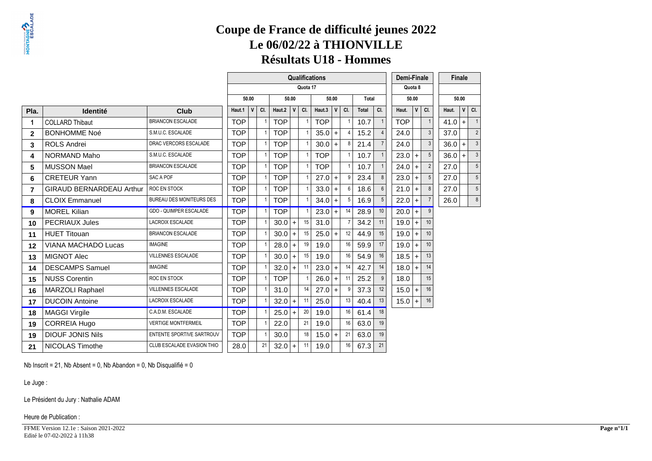### **Coupe de France de difficulté jeunes 2022Le 06/02/22 à THIONVILLERésultats U18 - Hommes**

|                |                                 |                                 |            |                                                                  |     |                  |           |                | <b>Qualifications</b> |           |          |       |                | <b>Demi-Finale</b> |              |     |   | <b>Finale</b> |              |                            |
|----------------|---------------------------------|---------------------------------|------------|------------------------------------------------------------------|-----|------------------|-----------|----------------|-----------------------|-----------|----------|-------|----------------|--------------------|--------------|-----|---|---------------|--------------|----------------------------|
|                |                                 |                                 |            | Quota 17<br>Quota 8<br>50.00<br>50.00<br>50.00<br>Total<br>50.00 |     |                  |           |                |                       |           |          |       |                |                    |              |     |   |               |              |                            |
|                |                                 |                                 |            |                                                                  |     |                  |           |                |                       |           |          |       |                |                    |              |     |   | 50.00         |              |                            |
| Pla.           | <b>Identité</b>                 | Club                            | Haut.1     | V                                                                | CI. | Haut. $2 \mid V$ |           | CI.            | Haut.3 $ V $          |           | CI.      | Total | CI.            | Haut.              | $\mathsf{V}$ | CI. |   | Haut.         | $\mathsf{V}$ | CI.                        |
| 1              | <b>COLLARD Thibaut</b>          | <b>BRIANCON ESCALADE</b>        | <b>TOP</b> |                                                                  |     | <b>TOP</b>       |           |                | <b>TOP</b>            |           |          | 10.7  | $\mathbf{1}$   | <b>TOP</b>         |              |     |   | 41.0          | $\ddot{}$    | $\overline{\phantom{0}}$ 1 |
| $\mathbf{2}$   | <b>BONHOMME Noé</b>             | S.M.U.C. ESCALADE               | <b>TOP</b> |                                                                  |     | <b>TOP</b>       |           |                | $35.0 +$              |           | $\Delta$ | 15.2  |                | 24.0               |              |     | 3 | 37.0          |              | $\overline{2}$             |
| 3              | <b>ROLS Andrei</b>              | DRAC VERCORS ESCALADE           | <b>TOP</b> |                                                                  |     | <b>TOP</b>       |           |                | $30.0 +$              |           | 8        | 21.4  | $\overline{7}$ | 24.0               |              |     |   | $36.0+$       |              | 3                          |
| 4              | NORMAND Maho                    | S.M.U.C. ESCALADE               | <b>TOP</b> |                                                                  |     | <b>TOP</b>       |           | $\overline{1}$ | <b>TOP</b>            |           |          | 10.7  |                | $23.0+$            |              |     |   | $36.0 +$      |              | 3                          |
| 5              | <b>MUSSON Mael</b>              | <b>BRIANCON ESCALADE</b>        | <b>TOP</b> |                                                                  |     | <b>TOP</b>       |           | $\overline{1}$ | <b>TOP</b>            |           |          | 10.7  |                | 24.0               | $+$          |     |   | 27.0          |              | 5                          |
| 6              | <b>CRETEUR Yann</b>             | SAC A POF                       | <b>TOP</b> |                                                                  |     | <b>TOP</b>       |           |                | $27.0 +$              |           | g        | 23.4  | 8              | 23.0               | $\ddot{}$    |     |   | 27.0          |              | 5                          |
| $\overline{7}$ | <b>GIRAUD BERNARDEAU Arthur</b> | ROC EN STOCK                    | <b>TOP</b> |                                                                  |     | <b>TOP</b>       |           |                | $33.0 +$              |           | 6        | 18.6  | 6              | $21.0 +$           |              |     |   | 27.0          |              | 5                          |
| 8              | <b>CLOIX Emmanuel</b>           | <b>BUREAU DES MONITEURS DES</b> | <b>TOP</b> |                                                                  |     | <b>TOP</b>       |           |                | $34.0 +$              |           | 5        | 16.9  | 5              | 22.0               | $\ddot{}$    |     |   | 26.0          |              | 8                          |
| 9              | <b>MOREL Kilian</b>             | <b>GDO - QUIMPER ESCALADE</b>   | <b>TOP</b> |                                                                  |     | <b>TOP</b>       |           |                | $23.0 +$              |           | 14       | 28.9  | 10             | $20.0$ +           |              |     |   |               |              |                            |
| 10             | <b>PECRIAUX Jules</b>           | <b>LACROIX ESCALADE</b>         | <b>TOP</b> |                                                                  |     | $30.0 +$         |           | 15             | 31.0                  |           |          | 34.2  | 11             | 19.0               | $+$          | 10  |   |               |              |                            |
| 11             | <b>HUET Titouan</b>             | <b>BRIANCON ESCALADE</b>        | <b>TOP</b> |                                                                  |     | $30.0 +$         |           | 15             | 25.0                  | $\ddot{}$ | 12       | 44.9  | 15             | 19.0               | $\ddot{}$    | 10  |   |               |              |                            |
| 12             | <b>VIANA MACHADO Lucas</b>      | <b>IMAGINE</b>                  | <b>TOP</b> |                                                                  |     | 28.0             | $\ddot{}$ | 19             | 19.0                  |           | 16       | 59.9  | 17             | 19.0               | $+$          | 10  |   |               |              |                            |
| 13             | <b>MIGNOT Alec</b>              | <b>VILLENNES ESCALADE</b>       | <b>TOP</b> |                                                                  |     | $30.0 +$         |           | 15             | 19.0                  |           | 16       | 54.9  | 16             | 18.5               | $+$          | 13  |   |               |              |                            |
| 14             | <b>DESCAMPS Samuel</b>          | <b>IMAGINE</b>                  | <b>TOP</b> |                                                                  |     | $32.0 +$         |           | 11             | 23.0                  | $\ddot{}$ | 14       | 42.7  | 14             | 18.0               | $+$          | 14  |   |               |              |                            |
| 15             | <b>NUSS Corentin</b>            | ROC EN STOCK                    | <b>TOP</b> |                                                                  |     | <b>TOP</b>       |           |                | 26.0                  | $\ddot{}$ | 11       | 25.2  | 9              | 18.0               |              | 15  |   |               |              |                            |
| 16             | <b>MARZOLI Raphael</b>          | <b>VILLENNES ESCALADE</b>       | <b>TOP</b> |                                                                  |     | 31.0             |           | 14             | $27.0 +$              |           | 9        | 37.3  | 12             | $15.0 +$           |              | 16  |   |               |              |                            |
| 17             | <b>DUCOIN Antoine</b>           | LACROIX ESCALADE                | <b>TOP</b> |                                                                  |     | $32.0 +$         |           | 11             | 25.0                  |           | 13       | 40.4  | 13             | $15.0 +$           |              | 16  |   |               |              |                            |
| 18             | <b>MAGGI Virgile</b>            | C.A.D.M. ESCALADE               | <b>TOP</b> |                                                                  |     | $25.0+$          |           | 20             | 19.0                  |           | 16       | 61.4  | 18             |                    |              |     |   |               |              |                            |
| 19             | <b>CORREIA Hugo</b>             | <b>VERTIGE MONTFERMEIL</b>      | <b>TOP</b> |                                                                  |     | 22.0             |           | 21             | 19.0                  |           | 16       | 63.0  | 19             |                    |              |     |   |               |              |                            |
| 19             | <b>DIOUF JONIS Nils</b>         | ENTENTE SPORTIVE SARTROUV       | <b>TOP</b> |                                                                  |     | 30.0             |           | 18             | $15.0 +$              |           | 21       | 63.0  | 19             |                    |              |     |   |               |              |                            |
| 21             | <b>NICOLAS Timothe</b>          | CLUB ESCALADE EVASION THIO      | 28.0       |                                                                  | 21  | $32.0 +$         |           | 11             | 19.0                  |           | 16       | 67.3  | 21             |                    |              |     |   |               |              |                            |

Nb Inscrit = 21, Nb Absent = 0, Nb Abandon = 0, Nb Disqualifié = 0

Le Juge :

#### Le Président du Jury : Nathalie ADAM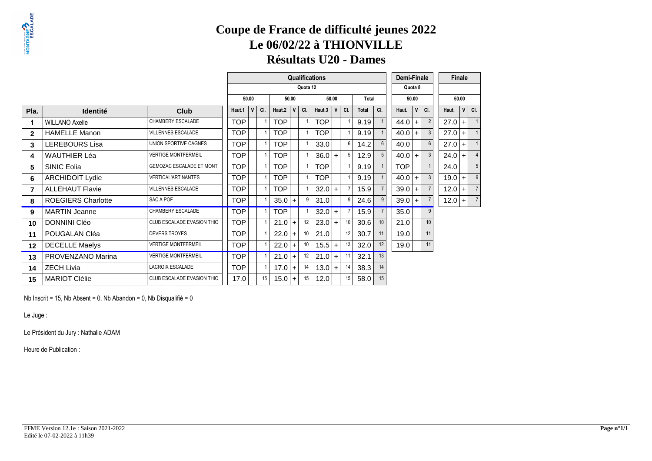### **Résultats U20 - Dames**

|                 |                           |                            |            |   |     |            |       |          | <b>Qualifications</b> |              |     |              |                  | Demi-Finale |       |     |     | <b>Finale</b> |   |                |  |
|-----------------|---------------------------|----------------------------|------------|---|-----|------------|-------|----------|-----------------------|--------------|-----|--------------|------------------|-------------|-------|-----|-----|---------------|---|----------------|--|
|                 |                           |                            |            |   |     |            |       | Quota 12 |                       |              |     |              |                  | Quota 8     |       |     |     |               |   |                |  |
|                 |                           |                            | 50.00      |   |     |            | 50.00 |          |                       | 50.00        |     | Total        |                  |             | 50.00 |     |     | 50.00         |   |                |  |
| Pla.            | <b>Identité</b>           | <b>Club</b>                | Haut.1     | V | CI. | Haut.2     | V     | CI.      | Haut.3                | $\mathbf{V}$ | CI. | <b>Total</b> | CI.              | Haut.       |       | V   | CI. | Haut.         | V | CI.            |  |
|                 | <b>WILLANO Axelle</b>     | CHAMBERY ESCALADE          | <b>TOP</b> |   |     | <b>TOP</b> |       |          | <b>TOP</b>            |              |     | 9.19         |                  | 44.0        |       | $+$ |     | $27.0 +$      |   |                |  |
| $\mathbf{2}$    | <b>HAMELLE Manon</b>      | <b>VILLENNES ESCALADE</b>  | <b>TOP</b> |   |     | <b>TOP</b> |       |          | <b>TOP</b>            |              |     | 9.19         |                  | 40.0        |       | $+$ |     | $27.0 +$      |   |                |  |
| 3               | <b>LEREBOURS Lisa</b>     | UNION SPORTIVE CAGNES      | <b>TOP</b> |   |     | <b>TOP</b> |       |          | 33.0                  |              | 6   | 14.2         | 6                | 40.0        |       |     |     | $27.0 +$      |   |                |  |
| 4               | <b>WAUTHIER Léa</b>       | <b>VERTIGE MONTFERMEIL</b> | <b>TOP</b> |   |     | TOP        |       |          | 36.0                  | $+$          | 5   | 12.9         | 5                | 40.0        |       | $+$ |     | $24.0 +$      |   |                |  |
| 5               | <b>SINIC Eolia</b>        | GEMOZAC ESCALADE ET MONT   | <b>TOP</b> |   |     | <b>TOP</b> |       |          | <b>TOP</b>            |              |     | 9.19         |                  | <b>TOP</b>  |       |     |     | 24.0          |   | 5              |  |
| 6               | <b>ARCHIDOIT Lydie</b>    | <b>VERTICAL'ART NANTES</b> | <b>TOP</b> |   |     | <b>TOP</b> |       |          | <b>TOP</b>            |              |     | 9.19         |                  | 40.0        |       | $+$ |     | $19.0 +$      |   |                |  |
| 7               | <b>ALLEHAUT Flavie</b>    | <b>VILLENNES ESCALADE</b>  | <b>TOP</b> |   |     | <b>TOP</b> |       |          | $32.0 +$              |              |     | 15.9         |                  | 39.0        |       | $+$ |     | $12.0 +$      |   |                |  |
| 8               | <b>ROEGIERS Charlotte</b> | SAC A POF                  | <b>TOP</b> |   |     | $35.0 +$   |       |          | 31.0                  |              | g   | 24.6         | 9                | 39.0        |       | $+$ |     | $12.0 +$      |   | $\overline{7}$ |  |
| 9               | <b>MARTIN Jeanne</b>      | CHAMBERY ESCALADE          | <b>TOP</b> |   |     | <b>TOP</b> |       |          | $32.0 +$              |              |     | 15.9         |                  | 35.0        |       |     | 9   |               |   |                |  |
| 10              | <b>DONNINI Cléo</b>       | CLUB ESCALADE EVASION THIO | <b>TOP</b> |   |     | $21.0 +$   |       | 12       | $23.0 +$              |              | 10  | 30.6         | 10 <sup>10</sup> | 21.0        |       |     | 10  |               |   |                |  |
| 11              | POUGALAN Cléa             | <b>DEVERS TROYES</b>       | <b>TOP</b> |   |     | $22.0 +$   |       | 10       | 21.0                  |              | 12  | 30.7         | 11               | 19.0        |       |     | 11  |               |   |                |  |
| 12 <sup>°</sup> | <b>DECELLE Maelys</b>     | <b>VERTIGE MONTFERMEIL</b> | <b>TOP</b> |   |     | 22.0       | $+$   | 10       | $15.5$ +              |              | 13  | 32.0         | 12               | 19.0        |       |     | 11  |               |   |                |  |
| 13              | PROVENZANO Marina         | <b>VERTIGE MONTFERMEIL</b> | <b>TOP</b> |   |     | $21.0$ +   |       | 12       | $21.0 +$              |              | 11  | 32.1         | 13               |             |       |     |     |               |   |                |  |
| 14              | <b>ZECH Livia</b>         | <b>LACROIX ESCALADE</b>    | <b>TOP</b> |   |     | $17.0 +$   |       | 14       | $13.0 +$              |              | 14  | 38.3         | 14               |             |       |     |     |               |   |                |  |
| 15              | <b>MARIOT Clélie</b>      | CLUB ESCALADE EVASION THIO | 17.0       |   | 15  | $15.0 +$   |       | 15       | 12.0                  |              | 15  | 58.0         | 15               |             |       |     |     |               |   |                |  |

Nb Inscrit = 15, Nb Absent = 0, Nb Abandon = 0, Nb Disqualifié = 0

Le Juge :

Le Président du Jury : Nathalie ADAM